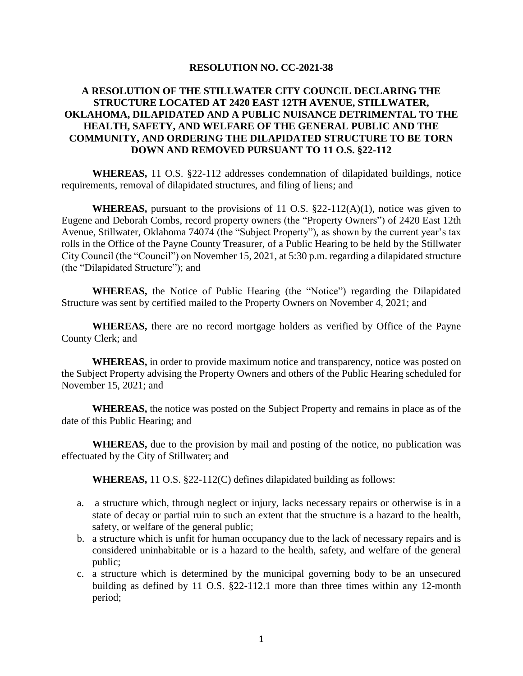## **RESOLUTION NO. CC-2021-38**

## **A RESOLUTION OF THE STILLWATER CITY COUNCIL DECLARING THE STRUCTURE LOCATED AT 2420 EAST 12TH AVENUE, STILLWATER, OKLAHOMA, DILAPIDATED AND A PUBLIC NUISANCE DETRIMENTAL TO THE HEALTH, SAFETY, AND WELFARE OF THE GENERAL PUBLIC AND THE COMMUNITY, AND ORDERING THE DILAPIDATED STRUCTURE TO BE TORN DOWN AND REMOVED PURSUANT TO 11 O.S. §22-112**

**WHEREAS,** 11 O.S. §22-112 addresses condemnation of dilapidated buildings, notice requirements, removal of dilapidated structures, and filing of liens; and

**WHEREAS,** pursuant to the provisions of 11 O.S.  $\S$ 22-112(A)(1), notice was given to Eugene and Deborah Combs, record property owners (the "Property Owners") of 2420 East 12th Avenue, Stillwater, Oklahoma 74074 (the "Subject Property"), as shown by the current year's tax rolls in the Office of the Payne County Treasurer, of a Public Hearing to be held by the Stillwater City Council (the "Council") on November 15, 2021, at 5:30 p.m. regarding a dilapidated structure (the "Dilapidated Structure"); and

**WHEREAS,** the Notice of Public Hearing (the "Notice") regarding the Dilapidated Structure was sent by certified mailed to the Property Owners on November 4, 2021; and

**WHEREAS,** there are no record mortgage holders as verified by Office of the Payne County Clerk; and

**WHEREAS,** in order to provide maximum notice and transparency, notice was posted on the Subject Property advising the Property Owners and others of the Public Hearing scheduled for November 15, 2021; and

**WHEREAS,** the notice was posted on the Subject Property and remains in place as of the date of this Public Hearing; and

**WHEREAS,** due to the provision by mail and posting of the notice, no publication was effectuated by the City of Stillwater; and

**WHEREAS,** 11 O.S. §22-112(C) defines dilapidated building as follows:

- a. a structure which, through neglect or injury, lacks necessary repairs or otherwise is in a state of decay or partial ruin to such an extent that the structure is a hazard to the health, safety, or welfare of the general public;
- b. a structure which is unfit for human occupancy due to the lack of necessary repairs and is considered uninhabitable or is a hazard to the health, safety, and welfare of the general public;
- c. a structure which is determined by the municipal governing body to be an unsecured building as defined by 11 O.S. §22-112.1 more than three times within any 12-month period;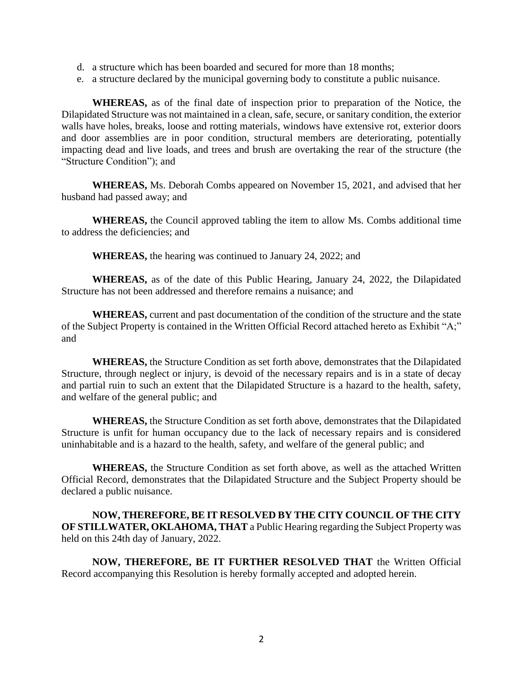- d. a structure which has been boarded and secured for more than 18 months;
- e. a structure declared by the municipal governing body to constitute a public nuisance.

**WHEREAS,** as of the final date of inspection prior to preparation of the Notice, the Dilapidated Structure was not maintained in a clean, safe, secure, or sanitary condition, the exterior walls have holes, breaks, loose and rotting materials, windows have extensive rot, exterior doors and door assemblies are in poor condition, structural members are deteriorating, potentially impacting dead and live loads, and trees and brush are overtaking the rear of the structure (the "Structure Condition"); and

**WHEREAS,** Ms. Deborah Combs appeared on November 15, 2021, and advised that her husband had passed away; and

**WHEREAS,** the Council approved tabling the item to allow Ms. Combs additional time to address the deficiencies; and

**WHEREAS,** the hearing was continued to January 24, 2022; and

**WHEREAS,** as of the date of this Public Hearing, January 24, 2022, the Dilapidated Structure has not been addressed and therefore remains a nuisance; and

**WHEREAS,** current and past documentation of the condition of the structure and the state of the Subject Property is contained in the Written Official Record attached hereto as Exhibit "A;" and

**WHEREAS,** the Structure Condition as set forth above, demonstrates that the Dilapidated Structure, through neglect or injury, is devoid of the necessary repairs and is in a state of decay and partial ruin to such an extent that the Dilapidated Structure is a hazard to the health, safety, and welfare of the general public; and

**WHEREAS,** the Structure Condition as set forth above, demonstrates that the Dilapidated Structure is unfit for human occupancy due to the lack of necessary repairs and is considered uninhabitable and is a hazard to the health, safety, and welfare of the general public; and

**WHEREAS,** the Structure Condition as set forth above, as well as the attached Written Official Record, demonstrates that the Dilapidated Structure and the Subject Property should be declared a public nuisance.

**NOW, THEREFORE, BE IT RESOLVED BY THE CITY COUNCIL OF THE CITY OF STILLWATER, OKLAHOMA, THAT** a Public Hearing regarding the Subject Property was held on this 24th day of January, 2022.

**NOW, THEREFORE, BE IT FURTHER RESOLVED THAT** the Written Official Record accompanying this Resolution is hereby formally accepted and adopted herein.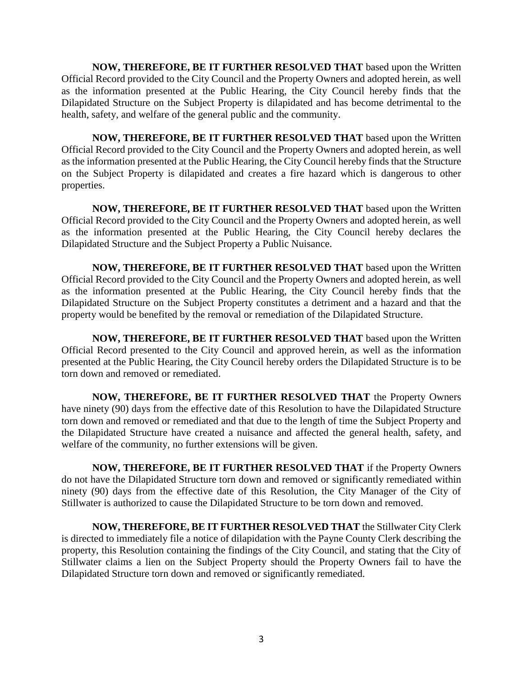**NOW, THEREFORE, BE IT FURTHER RESOLVED THAT** based upon the Written Official Record provided to the City Council and the Property Owners and adopted herein, as well as the information presented at the Public Hearing, the City Council hereby finds that the Dilapidated Structure on the Subject Property is dilapidated and has become detrimental to the health, safety, and welfare of the general public and the community.

**NOW, THEREFORE, BE IT FURTHER RESOLVED THAT** based upon the Written Official Record provided to the City Council and the Property Owners and adopted herein, as well as the information presented at the Public Hearing, the City Council hereby finds that the Structure on the Subject Property is dilapidated and creates a fire hazard which is dangerous to other properties.

**NOW, THEREFORE, BE IT FURTHER RESOLVED THAT** based upon the Written Official Record provided to the City Council and the Property Owners and adopted herein, as well as the information presented at the Public Hearing, the City Council hereby declares the Dilapidated Structure and the Subject Property a Public Nuisance.

**NOW, THEREFORE, BE IT FURTHER RESOLVED THAT** based upon the Written Official Record provided to the City Council and the Property Owners and adopted herein, as well as the information presented at the Public Hearing, the City Council hereby finds that the Dilapidated Structure on the Subject Property constitutes a detriment and a hazard and that the property would be benefited by the removal or remediation of the Dilapidated Structure.

**NOW, THEREFORE, BE IT FURTHER RESOLVED THAT** based upon the Written Official Record presented to the City Council and approved herein, as well as the information presented at the Public Hearing, the City Council hereby orders the Dilapidated Structure is to be torn down and removed or remediated.

**NOW, THEREFORE, BE IT FURTHER RESOLVED THAT** the Property Owners have ninety (90) days from the effective date of this Resolution to have the Dilapidated Structure torn down and removed or remediated and that due to the length of time the Subject Property and the Dilapidated Structure have created a nuisance and affected the general health, safety, and welfare of the community, no further extensions will be given.

**NOW, THEREFORE, BE IT FURTHER RESOLVED THAT** if the Property Owners do not have the Dilapidated Structure torn down and removed or significantly remediated within ninety (90) days from the effective date of this Resolution, the City Manager of the City of Stillwater is authorized to cause the Dilapidated Structure to be torn down and removed.

**NOW, THEREFORE, BE IT FURTHER RESOLVED THAT** the Stillwater City Clerk is directed to immediately file a notice of dilapidation with the Payne County Clerk describing the property, this Resolution containing the findings of the City Council, and stating that the City of Stillwater claims a lien on the Subject Property should the Property Owners fail to have the Dilapidated Structure torn down and removed or significantly remediated.